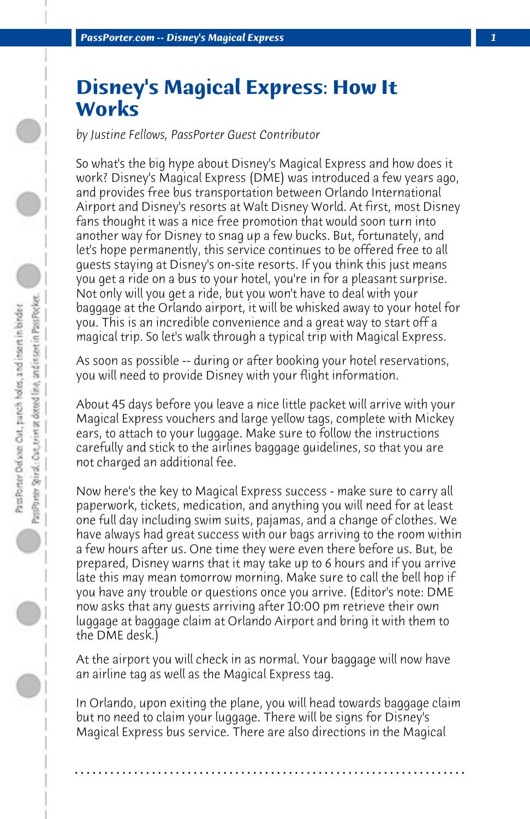## **Disney's Magical Express: How It Works**

*by Justine Fellows, PassPorter Guest Contributor*

So what's the big hype about Disney's Magical Express and how does it work? Disney's Magical Express (DME) was introduced a few years ago, and provides free bus transportation between Orlando International Airport and Disney's resorts at Walt Disney World. At first, most Disney fans thought it was a nice free promotion that would soon turn into another way for Disney to snag up a few bucks. But, fortunately, and let's hope permanently, this service continues to be offered free to all guests staying at Disney's on-site resorts. If you think this just means you get a ride on a bus to your hotel, you're in for a pleasant surprise. Not only will you get a ride, but you won't have to deal with your baggage at the Orlando airport, it will be whisked away to your hotel for you. This is an incredible convenience and a great way to start off a magical trip. So let's walk through a typical trip with Magical Express.

As soon as possible -- during or after booking your hotel reservations, you will need to provide Disney with your flight information.

About 45 days before you leave a nice little packet will arrive with your Magical Express vouchers and large yellow tags, complete with Mickey ears, to attach to your luggage. Make sure to follow the instructions carefully and stick to the airlines baggage guidelines, so that you are not charged an additional fee.

Now here's the key to Magical Express success - make sure to carry all paperwork, tickets, medication, and anything you will need for at least one full day including swim suits, pajamas, and a change of clothes. We have always had great success with our bags arriving to the room within a few hours after us. One time they were even there before us. But, be prepared, Disney warns that it may take up to 6 hours and if you arrive late this may mean tomorrow morning. Make sure to call the bell hop if you have any trouble or questions once you arrive. (Editor's note: DME now asks that any guests arriving after 10:00 pm retrieve their own luggage at baggage claim at Orlando Airport and bring it with them to the DME desk.)

At the airport you will check in as normal. Your baggage will now have an airline tag as well as the Magical Express tag.

In Orlando, upon exiting the plane, you will head towards baggage claim but no need to claim your luggage. There will be signs for Disney's Magical Express bus service. There are also directions in the Magical

**. . . . . . . . . . . . . . . . . . . . . . . . . . . . . . . . . . . . . . . . . . . . . . . . . . . . . . . . . . . . . . . . . .**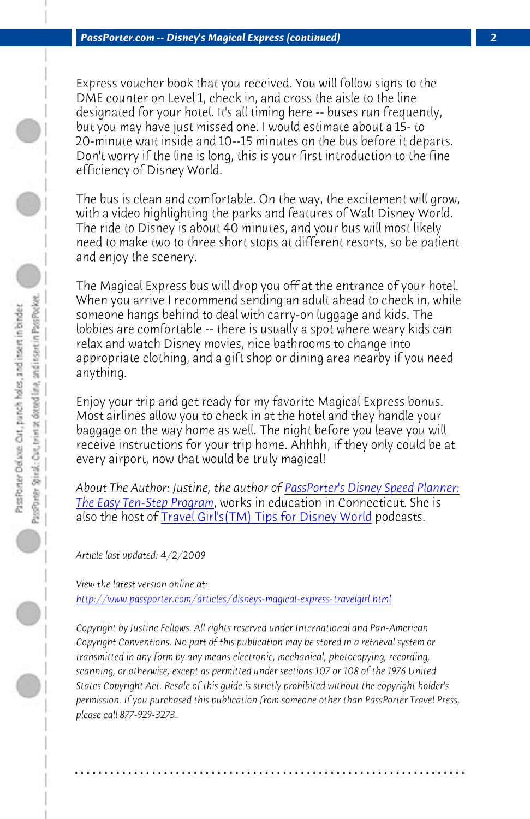*PassPorter.com -- Disney's Magical Express (continued) 2*

Express voucher book that you received. You will follow signs to the DME counter on Level 1, check in, and cross the aisle to the line designated for your hotel. It's all timing here -- buses run frequently, but you may have just missed one. I would estimate about a 15- to 20-minute wait inside and 10--15 minutes on the bus before it departs. Don't worry if the line is long, this is your first introduction to the fine efficiency of Disney World.

The bus is clean and comfortable. On the way, the excitement will grow, with a video highlighting the parks and features of Walt Disney World. The ride to Disney is about 40 minutes, and your bus will most likely need to make two to three short stops [at different resorts, so be patient](http://www.passporter.com/wdw/speedplanner.asp) [and enjoy the scenery.](http://www.passporter.com/wdw/speedplanner.asp)

The Magical Ex[press bus will drop you off at the entranc](http://speedplanner.podbean.com/)e of your hotel. When you arrive I recommend sending an adult ahead to check in, while someone hangs behind to deal with carry-on luggage and kids. The lobbies are comfortable -- there is usually a spot where weary kids can relax and watch Disney movies, nice bathrooms to change into [appropriate clothing, and a gift shop or dining area nearby](http://www.passporter.com/articles/disneys-magical-express-travelgirl.php) if you need anything.

Enjoy your trip and get ready for my favorite Magical Express bonus. Most airlines allow you to check in at the hotel and they handle your baggage on the way home as well. The night before you leave you will receive instructions for your trip home. Ahhhh, if they only could be at every airport, now that would be truly magical!

*About The Author: Justine, the author of PassPorter's Disney Speed Planner: The Easy Ten-Step Program*, works in education in Connecticut. She is also the host of Travel Girl's(TM) Tips for Disney World podcasts.

*Article last updated: 4/2/2009*

*View the latest version online at: http://www.passporter.com/articles/disneys-magical-express-travelgirl.html*

*Copyright by Justine Fellows. All rights reserved under International and Pan-American Copyright Conventions. No part of this publication may be stored in a retrieval system or transmitted in any form by any means electronic, mechanical, photocopying, recording, scanning, or otherwise, except as permitted under sections 107 or 108 of the 1976 United States Copyright Act. Resale of this guide is strictly prohibited without the copyright holder's permission. If you purchased this publication from someone other than PassPorter Travel Press, please call 877-929-3273.*

**. . . . . . . . . . . . . . . . . . . . . . . . . . . . . . . . . . . . . . . . . . . . . . . . . . . . . . . . . . . . . . . . . .**